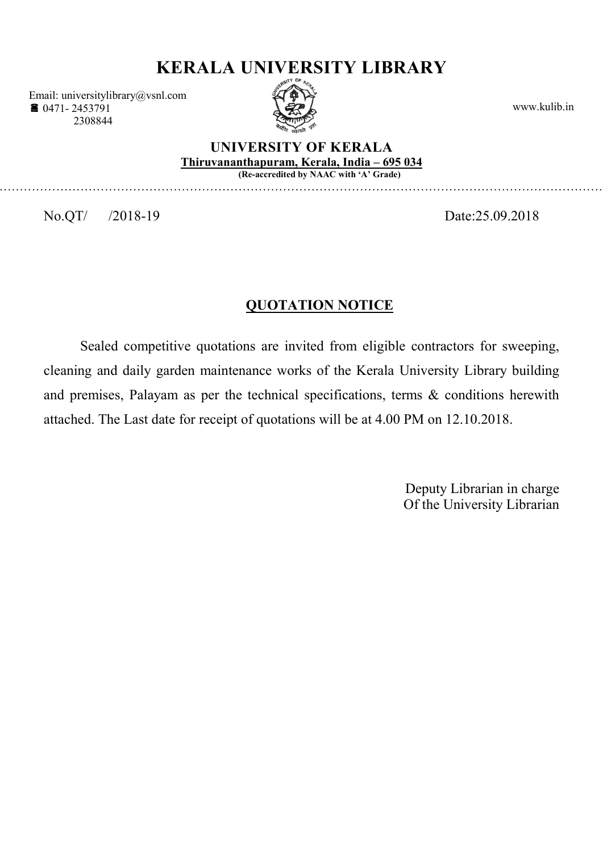# KERALA UNIVERSITY LIBRARY

Email: universitylibrary@vsnl.com ■ 0471-2453791 2308844



www.kulib.in

#### UNIVERSITY OF KERALA Thiruvananthapuram, Kerala, India – 695 034 (Re-accredited by NAAC with 'A' Grade)

…………………………………………………………………………………………………………………………………………

No.QT/ /2018-19 Date:25.09.2018

# QUOTATION NOTICE

Sealed competitive quotations are invited from eligible contractors for sweeping, cleaning and daily garden maintenance works of the Kerala University Library building and premises, Palayam as per the technical specifications, terms & conditions herewith attached. The Last date for receipt of quotations will be at 4.00 PM on 12.10.2018.

> Deputy Librarian in charge Of the University Librarian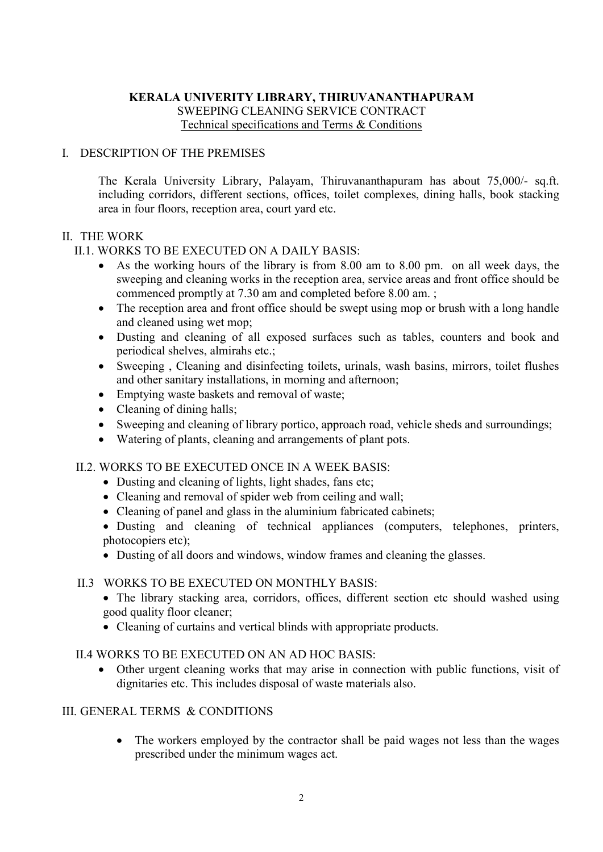# KERALA UNIVERITY LIBRARY, THIRUVANANTHAPURAM SWEEPING CLEANING SERVICE CONTRACT Technical specifications and Terms & Conditions

## I. DESCRIPTION OF THE PREMISES

The Kerala University Library, Palayam, Thiruvananthapuram has about 75,000/- sq.ft. including corridors, different sections, offices, toilet complexes, dining halls, book stacking area in four floors, reception area, court yard etc.

### II. THE WORK

### II.1. WORKS TO BE EXECUTED ON A DAILY BASIS:

- As the working hours of the library is from 8.00 am to 8.00 pm. on all week days, the sweeping and cleaning works in the reception area, service areas and front office should be commenced promptly at 7.30 am and completed before 8.00 am. ;
- The reception area and front office should be swept using mop or brush with a long handle and cleaned using wet mop;
- Dusting and cleaning of all exposed surfaces such as tables, counters and book and periodical shelves, almirahs etc.;
- Sweeping , Cleaning and disinfecting toilets, urinals, wash basins, mirrors, toilet flushes and other sanitary installations, in morning and afternoon;
- Emptying waste baskets and removal of waste;
- Cleaning of dining halls;
- Sweeping and cleaning of library portico, approach road, vehicle sheds and surroundings;
- Watering of plants, cleaning and arrangements of plant pots.

### II.2. WORKS TO BE EXECUTED ONCE IN A WEEK BASIS:

- Dusting and cleaning of lights, light shades, fans etc:
- Cleaning and removal of spider web from ceiling and wall;
- Cleaning of panel and glass in the aluminium fabricated cabinets;
- Dusting and cleaning of technical appliances (computers, telephones, printers, photocopiers etc);
- Dusting of all doors and windows, window frames and cleaning the glasses.

#### II.3 WORKS TO BE EXECUTED ON MONTHLY BASIS:

- The library stacking area, corridors, offices, different section etc should washed using good quality floor cleaner;
- Cleaning of curtains and vertical blinds with appropriate products.

#### II.4 WORKS TO BE EXECUTED ON AN AD HOC BASIS:

 Other urgent cleaning works that may arise in connection with public functions, visit of dignitaries etc. This includes disposal of waste materials also.

### III. GENERAL TERMS & CONDITIONS

• The workers employed by the contractor shall be paid wages not less than the wages prescribed under the minimum wages act.